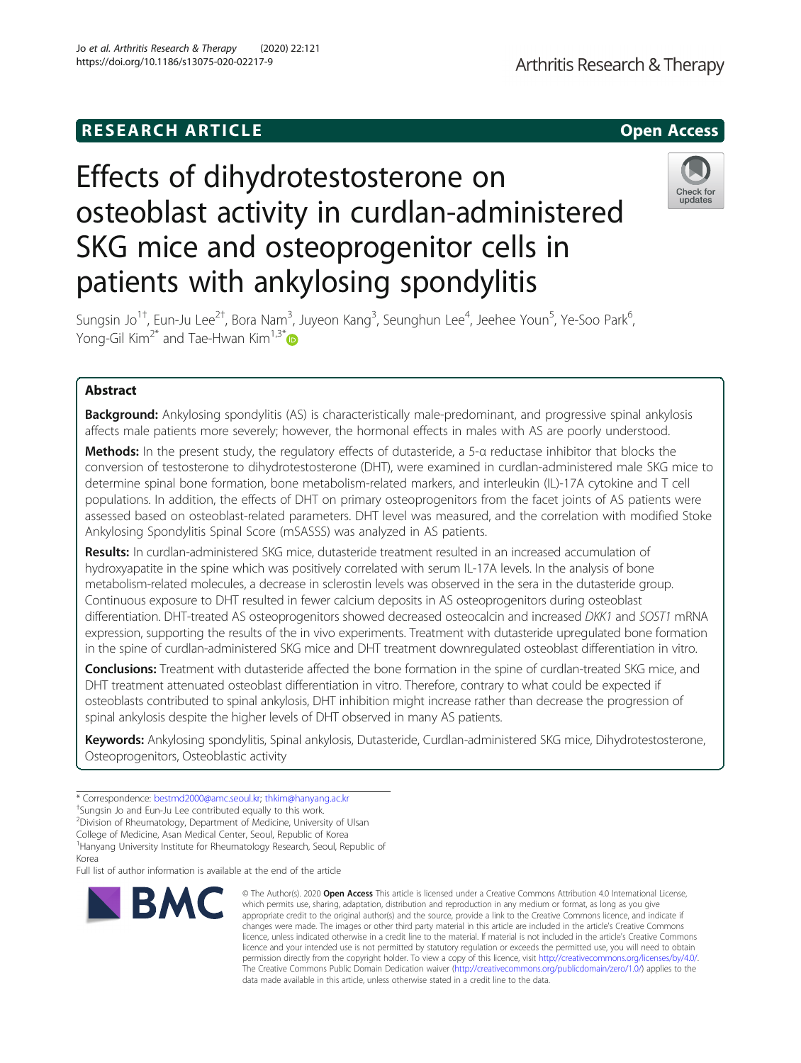# **RESEARCH ARTICLE Example 2014 CONSIDERING CONSIDERING CONSIDERING CONSIDERING CONSIDERING CONSIDERING CONSIDERING CONSIDERING CONSIDERING CONSIDERING CONSIDERING CONSIDERING CONSIDERING CONSIDERING CONSIDERING CONSIDE**

# Effects of dihydrotestosterone on osteoblast activity in curdlan-administered SKG mice and osteoprogenitor cells in patients with ankylosing spondylitis



Sungsin Jo<sup>1†</sup>, Eun-Ju Lee<sup>2†</sup>, Bora Nam<sup>3</sup>, Juyeon Kang<sup>3</sup>, Seunghun Lee<sup>4</sup>, Jeehee Youn<sup>5</sup>, Ye-Soo Park<sup>6</sup> , Yong-Gil Kim<sup>2\*</sup> and Tae-Hwan Kim<sup>1,3\*</sup>

# Abstract

**Background:** Ankylosing spondylitis (AS) is characteristically male-predominant, and progressive spinal ankylosis affects male patients more severely; however, the hormonal effects in males with AS are poorly understood.

Methods: In the present study, the regulatory effects of dutasteride, a 5-a reductase inhibitor that blocks the conversion of testosterone to dihydrotestosterone (DHT), were examined in curdlan-administered male SKG mice to determine spinal bone formation, bone metabolism-related markers, and interleukin (IL)-17A cytokine and T cell populations. In addition, the effects of DHT on primary osteoprogenitors from the facet joints of AS patients were assessed based on osteoblast-related parameters. DHT level was measured, and the correlation with modified Stoke Ankylosing Spondylitis Spinal Score (mSASSS) was analyzed in AS patients.

Results: In curdlan-administered SKG mice, dutasteride treatment resulted in an increased accumulation of hydroxyapatite in the spine which was positively correlated with serum IL-17A levels. In the analysis of bone metabolism-related molecules, a decrease in sclerostin levels was observed in the sera in the dutasteride group. Continuous exposure to DHT resulted in fewer calcium deposits in AS osteoprogenitors during osteoblast differentiation. DHT-treated AS osteoprogenitors showed decreased osteocalcin and increased DKK1 and SOST1 mRNA expression, supporting the results of the in vivo experiments. Treatment with dutasteride upregulated bone formation in the spine of curdlan-administered SKG mice and DHT treatment downregulated osteoblast differentiation in vitro.

Conclusions: Treatment with dutasteride affected the bone formation in the spine of curdlan-treated SKG mice, and DHT treatment attenuated osteoblast differentiation in vitro. Therefore, contrary to what could be expected if osteoblasts contributed to spinal ankylosis, DHT inhibition might increase rather than decrease the progression of spinal ankylosis despite the higher levels of DHT observed in many AS patients.

Keywords: Ankylosing spondylitis, Spinal ankylosis, Dutasteride, Curdlan-administered SKG mice, Dihydrotestosterone, Osteoprogenitors, Osteoblastic activity

2 Division of Rheumatology, Department of Medicine, University of Ulsan

College of Medicine, Asan Medical Center, Seoul, Republic of Korea

Full list of author information is available at the end of the article



<sup>©</sup> The Author(s), 2020 **Open Access** This article is licensed under a Creative Commons Attribution 4.0 International License, which permits use, sharing, adaptation, distribution and reproduction in any medium or format, as long as you give appropriate credit to the original author(s) and the source, provide a link to the Creative Commons licence, and indicate if changes were made. The images or other third party material in this article are included in the article's Creative Commons licence, unless indicated otherwise in a credit line to the material. If material is not included in the article's Creative Commons licence and your intended use is not permitted by statutory regulation or exceeds the permitted use, you will need to obtain permission directly from the copyright holder. To view a copy of this licence, visit [http://creativecommons.org/licenses/by/4.0/.](http://creativecommons.org/licenses/by/4.0/) The Creative Commons Public Domain Dedication waiver [\(http://creativecommons.org/publicdomain/zero/1.0/](http://creativecommons.org/publicdomain/zero/1.0/)) applies to the data made available in this article, unless otherwise stated in a credit line to the data.

<sup>\*</sup> Correspondence: [bestmd2000@amc.seoul.kr](mailto:bestmd2000@amc.seoul.kr); [thkim@hanyang.ac.kr](mailto:thkim@hanyang.ac.kr) †

<sup>&</sup>lt;sup>+</sup>Sungsin Jo and Eun-Ju Lee contributed equally to this work.

<sup>&</sup>lt;sup>1</sup>Hanyang University Institute for Rheumatology Research, Seoul, Republic of Korea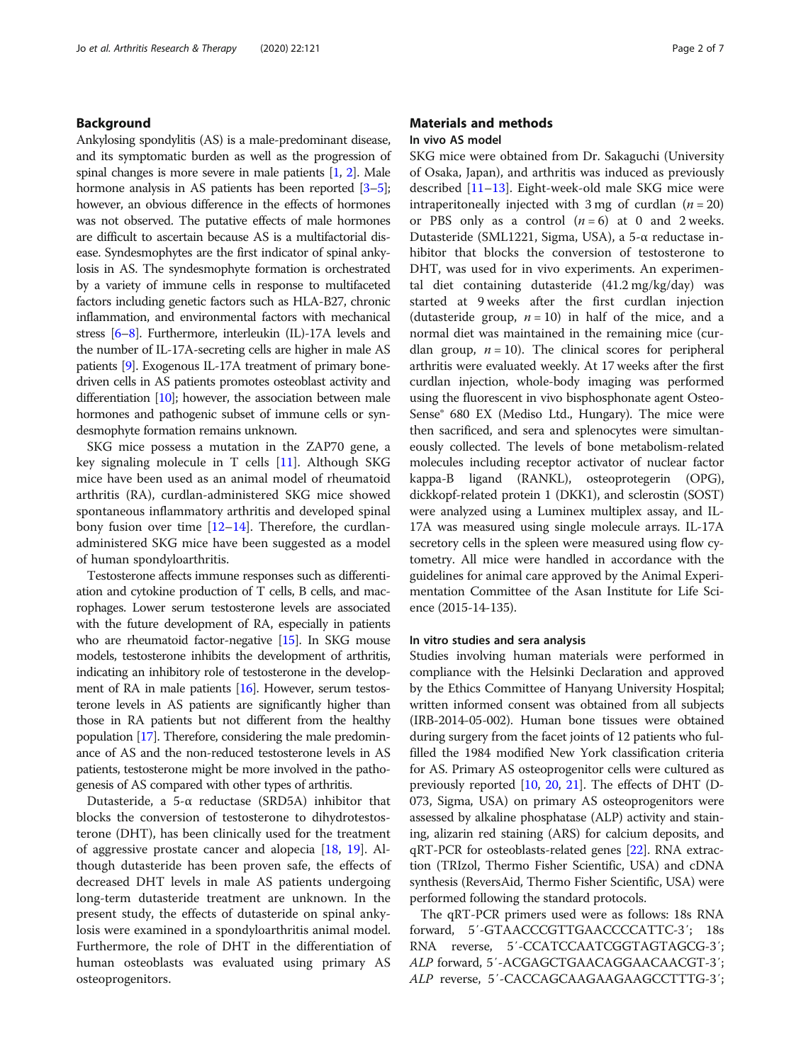# Background

Ankylosing spondylitis (AS) is a male-predominant disease, and its symptomatic burden as well as the progression of spinal changes is more severe in male patients  $[1, 2]$  $[1, 2]$  $[1, 2]$  $[1, 2]$  $[1, 2]$ . Male hormone analysis in AS patients has been reported [\[3](#page-6-0)–[5](#page-6-0)]; however, an obvious difference in the effects of hormones was not observed. The putative effects of male hormones are difficult to ascertain because AS is a multifactorial disease. Syndesmophytes are the first indicator of spinal ankylosis in AS. The syndesmophyte formation is orchestrated by a variety of immune cells in response to multifaceted factors including genetic factors such as HLA-B27, chronic inflammation, and environmental factors with mechanical stress [\[6](#page-6-0)–[8\]](#page-6-0). Furthermore, interleukin (IL)-17A levels and the number of IL-17A-secreting cells are higher in male AS patients [\[9\]](#page-6-0). Exogenous IL-17A treatment of primary bonedriven cells in AS patients promotes osteoblast activity and differentiation [\[10](#page-6-0)]; however, the association between male hormones and pathogenic subset of immune cells or syndesmophyte formation remains unknown.

SKG mice possess a mutation in the ZAP70 gene, a key signaling molecule in T cells [\[11](#page-6-0)]. Although SKG mice have been used as an animal model of rheumatoid arthritis (RA), curdlan-administered SKG mice showed spontaneous inflammatory arthritis and developed spinal bony fusion over time  $[12-14]$  $[12-14]$  $[12-14]$ . Therefore, the curdlanadministered SKG mice have been suggested as a model of human spondyloarthritis.

Testosterone affects immune responses such as differentiation and cytokine production of T cells, B cells, and macrophages. Lower serum testosterone levels are associated with the future development of RA, especially in patients who are rheumatoid factor-negative [\[15](#page-6-0)]. In SKG mouse models, testosterone inhibits the development of arthritis, indicating an inhibitory role of testosterone in the development of RA in male patients [\[16\]](#page-6-0). However, serum testosterone levels in AS patients are significantly higher than those in RA patients but not different from the healthy population [\[17\]](#page-6-0). Therefore, considering the male predominance of AS and the non-reduced testosterone levels in AS patients, testosterone might be more involved in the pathogenesis of AS compared with other types of arthritis.

Dutasteride, a 5-α reductase (SRD5A) inhibitor that blocks the conversion of testosterone to dihydrotestosterone (DHT), has been clinically used for the treatment of aggressive prostate cancer and alopecia [[18,](#page-6-0) [19\]](#page-6-0). Although dutasteride has been proven safe, the effects of decreased DHT levels in male AS patients undergoing long-term dutasteride treatment are unknown. In the present study, the effects of dutasteride on spinal ankylosis were examined in a spondyloarthritis animal model. Furthermore, the role of DHT in the differentiation of human osteoblasts was evaluated using primary AS osteoprogenitors.

# Materials and methods In vivo AS model

SKG mice were obtained from Dr. Sakaguchi (University of Osaka, Japan), and arthritis was induced as previously described [\[11](#page-6-0)–[13\]](#page-6-0). Eight-week-old male SKG mice were intraperitoneally injected with 3 mg of curdlan  $(n = 20)$ or PBS only as a control  $(n = 6)$  at 0 and 2 weeks. Dutasteride (SML1221, Sigma, USA), a 5-α reductase inhibitor that blocks the conversion of testosterone to DHT, was used for in vivo experiments. An experimental diet containing dutasteride (41.2 mg/kg/day) was started at 9 weeks after the first curdlan injection (dutasteride group,  $n = 10$ ) in half of the mice, and a normal diet was maintained in the remaining mice (curdlan group,  $n = 10$ ). The clinical scores for peripheral arthritis were evaluated weekly. At 17 weeks after the first curdlan injection, whole-body imaging was performed using the fluorescent in vivo bisphosphonate agent Osteo-Sense® 680 EX (Mediso Ltd., Hungary). The mice were then sacrificed, and sera and splenocytes were simultaneously collected. The levels of bone metabolism-related molecules including receptor activator of nuclear factor kappa-Β ligand (RANKL), osteoprotegerin (OPG), dickkopf-related protein 1 (DKK1), and sclerostin (SOST) were analyzed using a Luminex multiplex assay, and IL-17A was measured using single molecule arrays. IL-17A secretory cells in the spleen were measured using flow cytometry. All mice were handled in accordance with the guidelines for animal care approved by the Animal Experimentation Committee of the Asan Institute for Life Science (2015-14-135).

#### In vitro studies and sera analysis

Studies involving human materials were performed in compliance with the Helsinki Declaration and approved by the Ethics Committee of Hanyang University Hospital; written informed consent was obtained from all subjects (IRB-2014-05-002). Human bone tissues were obtained during surgery from the facet joints of 12 patients who fulfilled the 1984 modified New York classification criteria for AS. Primary AS osteoprogenitor cells were cultured as previously reported [\[10,](#page-6-0) [20](#page-6-0), [21\]](#page-6-0). The effects of DHT (D-073, Sigma, USA) on primary AS osteoprogenitors were assessed by alkaline phosphatase (ALP) activity and staining, alizarin red staining (ARS) for calcium deposits, and qRT-PCR for osteoblasts-related genes [[22](#page-6-0)]. RNA extraction (TRIzol, Thermo Fisher Scientific, USA) and cDNA synthesis (ReversAid, Thermo Fisher Scientific, USA) were performed following the standard protocols.

The qRT-PCR primers used were as follows: 18s RNA forward, 5′-GTAACCCGTTGAACCCCATTC-3′; 18s RNA reverse, 5′-CCATCCAATCGGTAGTAGCG-3′; ALP forward, 5′-ACGAGCTGAACAGGAACAACGT-3′; ALP reverse, 5′-CACCAGCAAGAAGAAGCCTTTG-3′;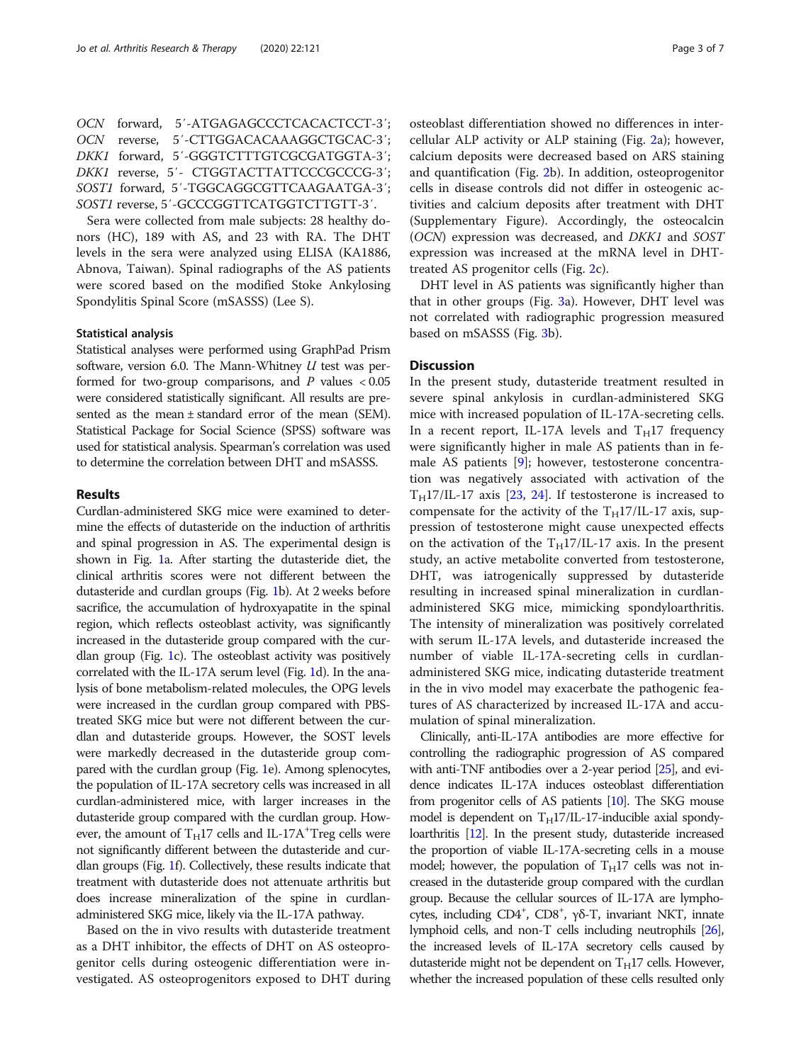|  | OCN forward, 5'-ATGAGAGCCCTCACACTCCT-3';   |
|--|--------------------------------------------|
|  | OCN reverse, 5'-CTTGGACACAAAGGCTGCAC-3';   |
|  | DKK1 forward, 5'-GGGTCTTTGTCGCGATGGTA-3';  |
|  | DKK1 reverse, 5'- CTGGTACTTATTCCCGCCCG-3'; |
|  | SOST1 forward, 5'-TGGCAGGCGTTCAAGAATGA-3'; |
|  | SOST1 reverse, 5'-GCCCGGTTCATGGTCTTGTT-3'. |

Sera were collected from male subjects: 28 healthy donors (HC), 189 with AS, and 23 with RA. The DHT levels in the sera were analyzed using ELISA (KA1886, Abnova, Taiwan). Spinal radiographs of the AS patients were scored based on the modified Stoke Ankylosing Spondylitis Spinal Score (mSASSS) (Lee S).

#### Statistical analysis

Statistical analyses were performed using GraphPad Prism software, version 6.0. The Mann-Whitney  $U$  test was performed for two-group comparisons, and  $P$  values  $< 0.05$ were considered statistically significant. All results are presented as the mean ± standard error of the mean (SEM). Statistical Package for Social Science (SPSS) software was used for statistical analysis. Spearman's correlation was used to determine the correlation between DHT and mSASSS.

### Results

Curdlan-administered SKG mice were examined to determine the effects of dutasteride on the induction of arthritis and spinal progression in AS. The experimental design is shown in Fig. [1](#page-3-0)a. After starting the dutasteride diet, the clinical arthritis scores were not different between the dutasteride and curdlan groups (Fig. [1](#page-3-0)b). At 2 weeks before sacrifice, the accumulation of hydroxyapatite in the spinal region, which reflects osteoblast activity, was significantly increased in the dutasteride group compared with the curdlan group (Fig. [1](#page-3-0)c). The osteoblast activity was positively correlated with the IL-17A serum level (Fig. [1d](#page-3-0)). In the analysis of bone metabolism-related molecules, the OPG levels were increased in the curdlan group compared with PBStreated SKG mice but were not different between the curdlan and dutasteride groups. However, the SOST levels were markedly decreased in the dutasteride group compared with the curdlan group (Fig. [1e](#page-3-0)). Among splenocytes, the population of IL-17A secretory cells was increased in all curdlan-administered mice, with larger increases in the dutasteride group compared with the curdlan group. However, the amount of  $T_H17$  cells and IL-17A<sup>+</sup>Treg cells were not significantly different between the dutasteride and curdlan groups (Fig. [1](#page-3-0)f). Collectively, these results indicate that treatment with dutasteride does not attenuate arthritis but does increase mineralization of the spine in curdlanadministered SKG mice, likely via the IL-17A pathway.

Based on the in vivo results with dutasteride treatment as a DHT inhibitor, the effects of DHT on AS osteoprogenitor cells during osteogenic differentiation were investigated. AS osteoprogenitors exposed to DHT during osteoblast differentiation showed no differences in intercellular ALP activity or ALP staining (Fig. [2a](#page-4-0)); however, calcium deposits were decreased based on ARS staining and quantification (Fig. [2b](#page-4-0)). In addition, osteoprogenitor cells in disease controls did not differ in osteogenic activities and calcium deposits after treatment with DHT (Supplementary Figure). Accordingly, the osteocalcin (OCN) expression was decreased, and DKK1 and SOST expression was increased at the mRNA level in DHTtreated AS progenitor cells (Fig. [2](#page-4-0)c).

DHT level in AS patients was significantly higher than that in other groups (Fig. [3](#page-4-0)a). However, DHT level was not correlated with radiographic progression measured based on mSASSS (Fig. [3b](#page-4-0)).

# **Discussion**

In the present study, dutasteride treatment resulted in severe spinal ankylosis in curdlan-administered SKG mice with increased population of IL-17A-secreting cells. In a recent report, IL-17A levels and  $T_H$ 17 frequency were significantly higher in male AS patients than in female AS patients [[9\]](#page-6-0); however, testosterone concentration was negatively associated with activation of the  $T_H17/IL-17$  axis [\[23,](#page-6-0) [24\]](#page-6-0). If testosterone is increased to compensate for the activity of the  $T_H17/IL-17$  axis, suppression of testosterone might cause unexpected effects on the activation of the  $T_H17/IL-17$  axis. In the present study, an active metabolite converted from testosterone, DHT, was iatrogenically suppressed by dutasteride resulting in increased spinal mineralization in curdlanadministered SKG mice, mimicking spondyloarthritis. The intensity of mineralization was positively correlated with serum IL-17A levels, and dutasteride increased the number of viable IL-17A-secreting cells in curdlanadministered SKG mice, indicating dutasteride treatment in the in vivo model may exacerbate the pathogenic features of AS characterized by increased IL-17A and accumulation of spinal mineralization.

Clinically, anti-IL-17A antibodies are more effective for controlling the radiographic progression of AS compared with anti-TNF antibodies over a 2-year period [\[25](#page-6-0)], and evidence indicates IL-17A induces osteoblast differentiation from progenitor cells of AS patients [\[10](#page-6-0)]. The SKG mouse model is dependent on  $T_H17/IL-17$ -inducible axial spondyloarthritis [\[12](#page-6-0)]. In the present study, dutasteride increased the proportion of viable IL-17A-secreting cells in a mouse model; however, the population of  $T_H$ 17 cells was not increased in the dutasteride group compared with the curdlan group. Because the cellular sources of IL-17A are lymphocytes, including CD4<sup>+</sup>, CD8<sup>+</sup>, γδ-T, invariant NKT, innate lymphoid cells, and non-T cells including neutrophils [\[26\]](#page-6-0), the increased levels of IL-17A secretory cells caused by dutasteride might not be dependent on  $T_H$ 17 cells. However, whether the increased population of these cells resulted only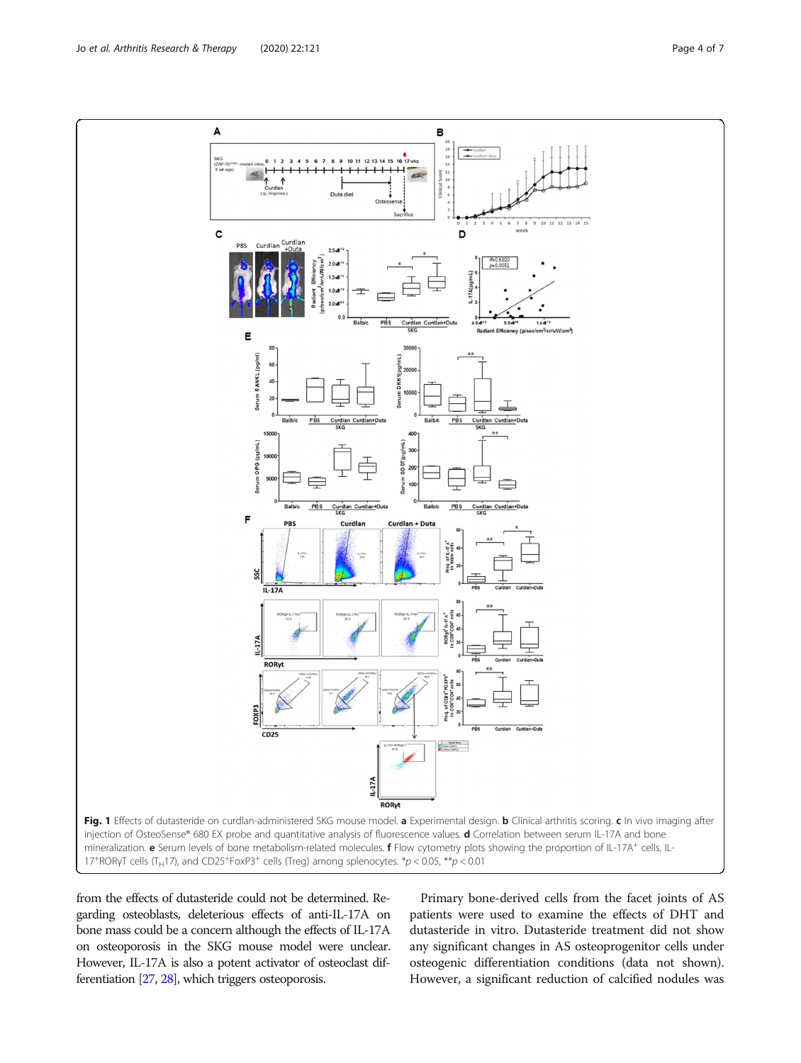<span id="page-3-0"></span>

from the effects of dutasteride could not be determined. Regarding osteoblasts, deleterious effects of anti-IL-17A on bone mass could be a concern although the effects of IL-17A on osteoporosis in the SKG mouse model were unclear. However, IL-17A is also a potent activator of osteoclast differentiation [\[27](#page-6-0), [28\]](#page-6-0), which triggers osteoporosis.

Primary bone-derived cells from the facet joints of AS patients were used to examine the effects of DHT and dutasteride in vitro. Dutasteride treatment did not show any significant changes in AS osteoprogenitor cells under osteogenic differentiation conditions (data not shown). However, a significant reduction of calcified nodules was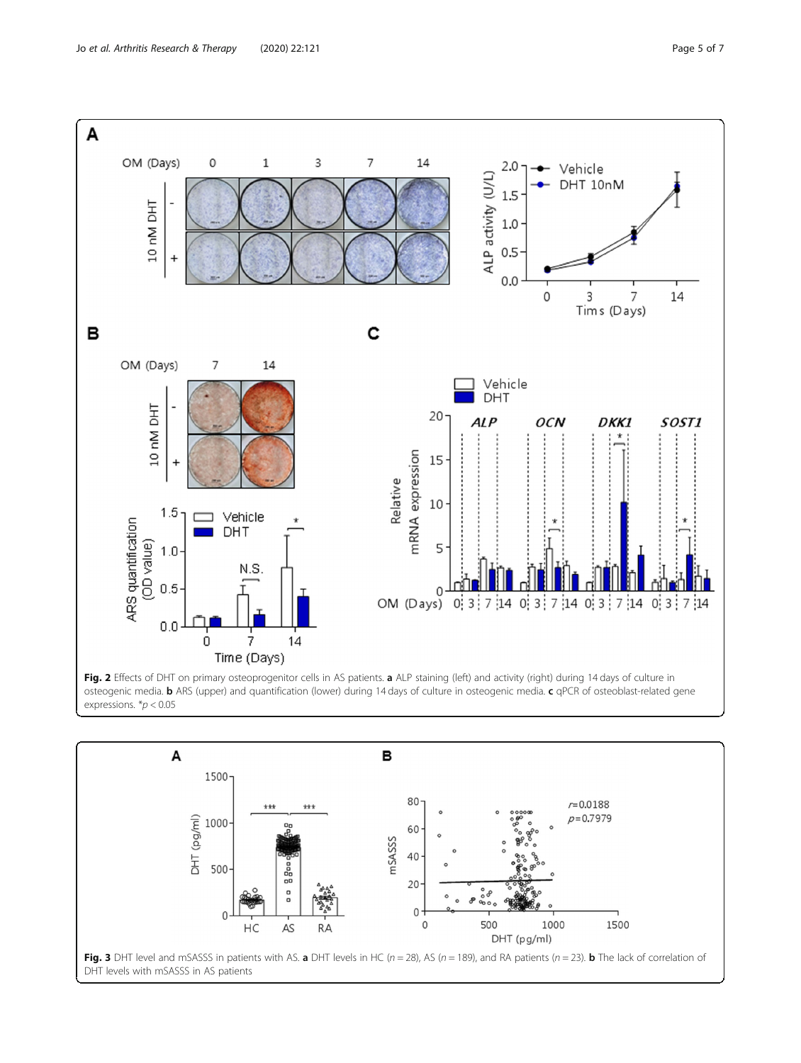<span id="page-4-0"></span>

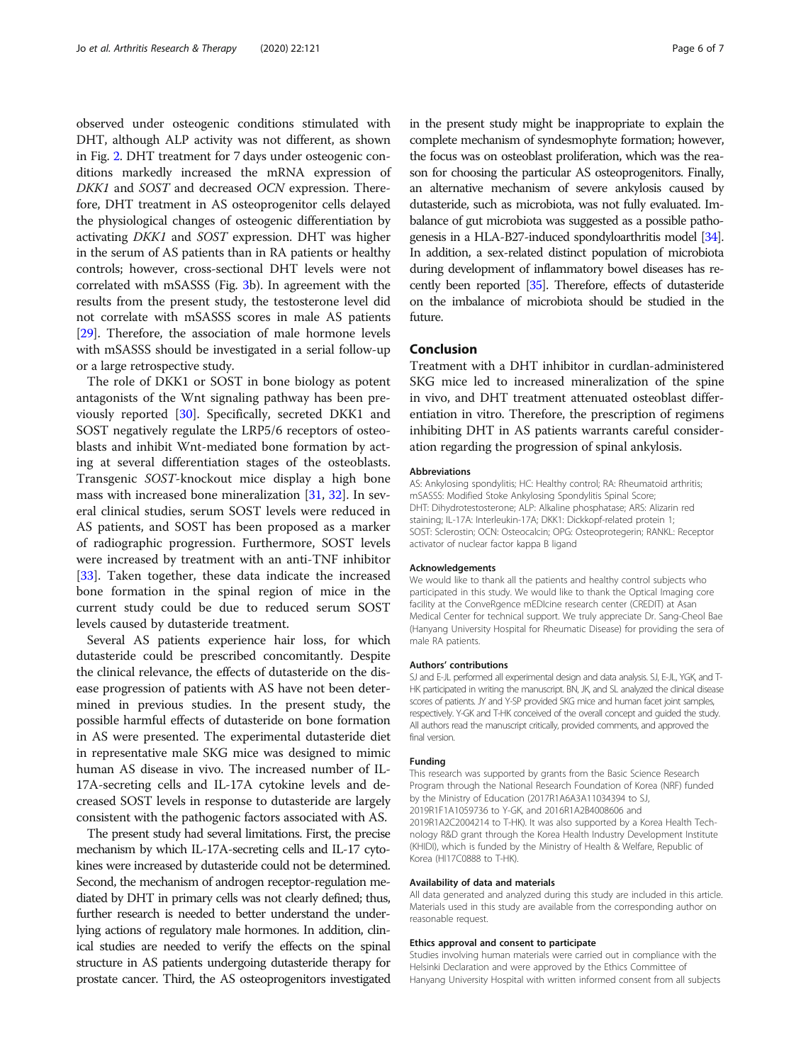observed under osteogenic conditions stimulated with DHT, although ALP activity was not different, as shown in Fig. [2](#page-4-0). DHT treatment for 7 days under osteogenic conditions markedly increased the mRNA expression of DKK1 and SOST and decreased OCN expression. Therefore, DHT treatment in AS osteoprogenitor cells delayed the physiological changes of osteogenic differentiation by activating DKK1 and SOST expression. DHT was higher in the serum of AS patients than in RA patients or healthy controls; however, cross-sectional DHT levels were not correlated with mSASSS (Fig. [3](#page-4-0)b). In agreement with the results from the present study, the testosterone level did not correlate with mSASSS scores in male AS patients [[29](#page-6-0)]. Therefore, the association of male hormone levels with mSASSS should be investigated in a serial follow-up or a large retrospective study.

The role of DKK1 or SOST in bone biology as potent antagonists of the Wnt signaling pathway has been previously reported [\[30](#page-6-0)]. Specifically, secreted DKK1 and SOST negatively regulate the LRP5/6 receptors of osteoblasts and inhibit Wnt-mediated bone formation by acting at several differentiation stages of the osteoblasts. Transgenic SOST-knockout mice display a high bone mass with increased bone mineralization [[31](#page-6-0), [32](#page-6-0)]. In several clinical studies, serum SOST levels were reduced in AS patients, and SOST has been proposed as a marker of radiographic progression. Furthermore, SOST levels were increased by treatment with an anti-TNF inhibitor [[33\]](#page-6-0). Taken together, these data indicate the increased bone formation in the spinal region of mice in the current study could be due to reduced serum SOST levels caused by dutasteride treatment.

Several AS patients experience hair loss, for which dutasteride could be prescribed concomitantly. Despite the clinical relevance, the effects of dutasteride on the disease progression of patients with AS have not been determined in previous studies. In the present study, the possible harmful effects of dutasteride on bone formation in AS were presented. The experimental dutasteride diet in representative male SKG mice was designed to mimic human AS disease in vivo. The increased number of IL-17A-secreting cells and IL-17A cytokine levels and decreased SOST levels in response to dutasteride are largely consistent with the pathogenic factors associated with AS.

The present study had several limitations. First, the precise mechanism by which IL-17A-secreting cells and IL-17 cytokines were increased by dutasteride could not be determined. Second, the mechanism of androgen receptor-regulation mediated by DHT in primary cells was not clearly defined; thus, further research is needed to better understand the underlying actions of regulatory male hormones. In addition, clinical studies are needed to verify the effects on the spinal structure in AS patients undergoing dutasteride therapy for prostate cancer. Third, the AS osteoprogenitors investigated in the present study might be inappropriate to explain the complete mechanism of syndesmophyte formation; however, the focus was on osteoblast proliferation, which was the reason for choosing the particular AS osteoprogenitors. Finally, an alternative mechanism of severe ankylosis caused by dutasteride, such as microbiota, was not fully evaluated. Imbalance of gut microbiota was suggested as a possible pathogenesis in a HLA-B27-induced spondyloarthritis model [\[34\]](#page-6-0). In addition, a sex-related distinct population of microbiota during development of inflammatory bowel diseases has recently been reported [\[35](#page-6-0)]. Therefore, effects of dutasteride on the imbalance of microbiota should be studied in the future.

# Conclusion

Treatment with a DHT inhibitor in curdlan-administered SKG mice led to increased mineralization of the spine in vivo, and DHT treatment attenuated osteoblast differentiation in vitro. Therefore, the prescription of regimens inhibiting DHT in AS patients warrants careful consideration regarding the progression of spinal ankylosis.

#### Abbreviations

AS: Ankylosing spondylitis; HC: Healthy control; RA: Rheumatoid arthritis; mSASSS: Modified Stoke Ankylosing Spondylitis Spinal Score; DHT: Dihydrotestosterone; ALP: Alkaline phosphatase; ARS: Alizarin red staining; IL-17A: Interleukin-17A; DKK1: Dickkopf-related protein 1; SOST: Sclerostin; OCN: Osteocalcin; OPG: Osteoprotegerin; RANKL: Receptor activator of nuclear factor kappa B ligand

#### Acknowledgements

We would like to thank all the patients and healthy control subjects who participated in this study. We would like to thank the Optical Imaging core facility at the ConveRgence mEDIcine research center (CREDIT) at Asan Medical Center for technical support. We truly appreciate Dr. Sang-Cheol Bae (Hanyang University Hospital for Rheumatic Disease) for providing the sera of male RA patients.

#### Authors' contributions

SJ and E-JL performed all experimental design and data analysis. SJ, E-JL, YGK, and T-HK participated in writing the manuscript. BN, JK, and SL analyzed the clinical disease scores of patients. JY and Y-SP provided SKG mice and human facet joint samples, respectively. Y-GK and T-HK conceived of the overall concept and guided the study. All authors read the manuscript critically, provided comments, and approved the final version.

#### Funding

This research was supported by grants from the Basic Science Research Program through the National Research Foundation of Korea (NRF) funded by the Ministry of Education (2017R1A6A3A11034394 to SJ, 2019R1F1A1059736 to Y-GK, and 2016R1A2B4008606 and 2019R1A2C2004214 to T-HK). It was also supported by a Korea Health Technology R&D grant through the Korea Health Industry Development Institute (KHIDI), which is funded by the Ministry of Health & Welfare, Republic of Korea (HI17C0888 to T-HK).

## Availability of data and materials

All data generated and analyzed during this study are included in this article. Materials used in this study are available from the corresponding author on reasonable request.

#### Ethics approval and consent to participate

Studies involving human materials were carried out in compliance with the Helsinki Declaration and were approved by the Ethics Committee of Hanyang University Hospital with written informed consent from all subjects